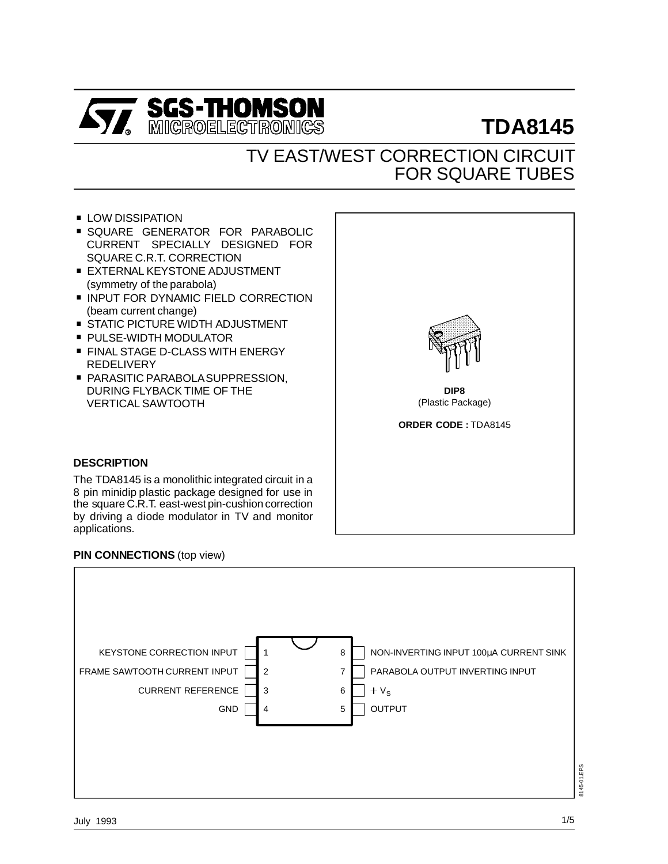

# **TDA8145**

# TV EAST/WEST CORRECTION CIRCUIT FOR SQUARE TUBES

- **LOW DISSIPATION**
- . SQUARE GENERATOR FOR PARABOLIC CURRENT SPECIALLY DESIGNED FOR SQUARE C.R.T. CORRECTION
- **EXTERNAL KEYSTONE ADJUSTMENT** (symmetry of the parabola)
- **INPUT FOR DYNAMIC FIELD CORRECTION** (beam current change) ■ INPUT FOR DYNAMIC FIELD CORREC<br>(beam current change)<br>■ STATIC PICTURE WIDTH ADJUSTMENT
- 
- beam current change)<br>■ STATIC PICTURE WIDTH AD.<br>■ PULSE-WIDTH MODULATOR ■ PULSE-WIDTH MODULATOR<br>■ FINAL STAGE D-CLASS WITH ENERGY
- REDELIVERY
- **PARASITIC PARABOLA SUPPRESSION,** DURING FLYBACK TIME OF THE VERTICAL SAWTOOTH



**DIP8** (Plastic Package)

**ORDER CODE :** TDA8145

#### **DESCRIPTION**

The TDA8145 is a monolithic integrated circuit in a 8 pin minidip plastic package designed for use in the square C.R.T. east-west pin-cushion correction by driving a diode modulator in TV and monitor applications.

# **PIN CONNECTIONS** (top view)

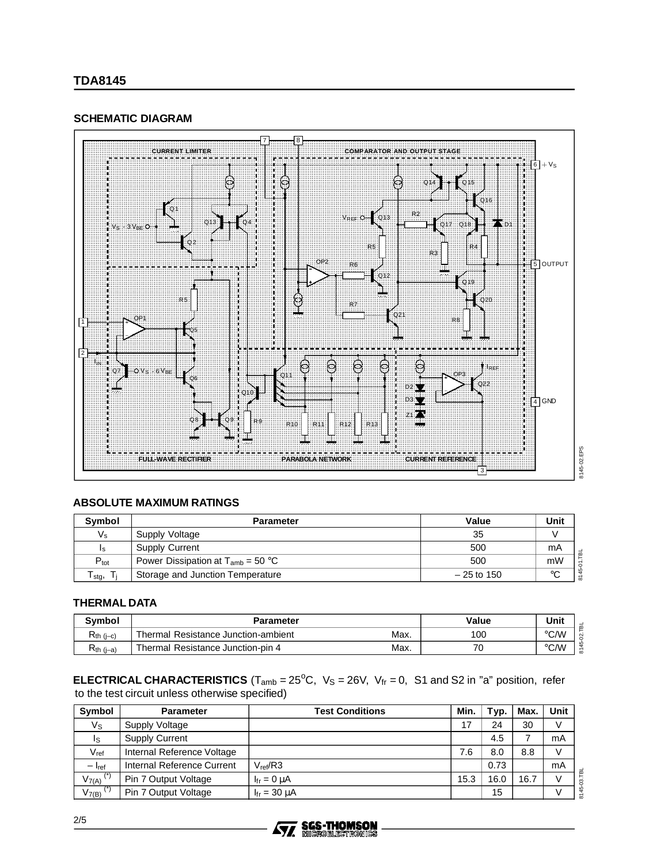# **SCHEMATIC DIAGRAM**



# **ABSOLUTE MAXIMUM RATINGS**

| Symbol           | <b>Parameter</b>                       | Value        | Unit    |
|------------------|----------------------------------------|--------------|---------|
| $V_{\rm s}$      | Supply Voltage                         | 35           |         |
| Ιs               | <b>Supply Current</b>                  | 500          | mA      |
| $P_{\text{tot}}$ | Power Dissipation at $T_{amb} = 50$ °C | 500          | mW      |
| stg,             | Storage and Junction Temperature       | $-25$ to 150 | $\circ$ |

# **THERMAL DATA**

| <b>Symbol</b>  | <b>Parameter</b>                    | Value | Unit |      |
|----------------|-------------------------------------|-------|------|------|
| $R_{th (i-c)}$ | Thermal Resistance Junction-ambient | Max.  | 100  | °C/W |
| $R_{th (i-a)}$ | Thermal Resistance Junction-pin 4   | Max.  | 70   | °C/W |

**ELECTRICAL CHARACTERISTICS** ( $T_{amb} = 25^{\circ}C$ ,  $V_S = 26V$ ,  $V_{fr} = 0$ , S1 and S2 in "a" position, refer to the test circuit unless otherwise specified)

| Symbol           | <b>Parameter</b>           | <b>Test Conditions</b>    | Min. | Typ. | Max. | <b>Unit</b> |
|------------------|----------------------------|---------------------------|------|------|------|-------------|
| Vs               | Supply Voltage             |                           | 17   | 24   | 30   |             |
| Is               | <b>Supply Current</b>      |                           |      | 4.5  |      | mA          |
| $V_{\text{ref}}$ | Internal Reference Voltage |                           | 7.6  | 8.0  | 8.8  |             |
| $- I_{ref}$      | Internal Reference Current | $V_{ref}/R3$              |      | 0.73 |      | mA          |
| $V_{7(A)}$       | Pin 7 Output Voltage       | $I_{\text{fr}} = 0 \mu A$ | 15.3 | 16.0 | 16.7 |             |
| $V_{7(B)}$       | Pin 7 Output Voltage       | $I_{fr} = 30 \mu A$       |      | 15   |      |             |

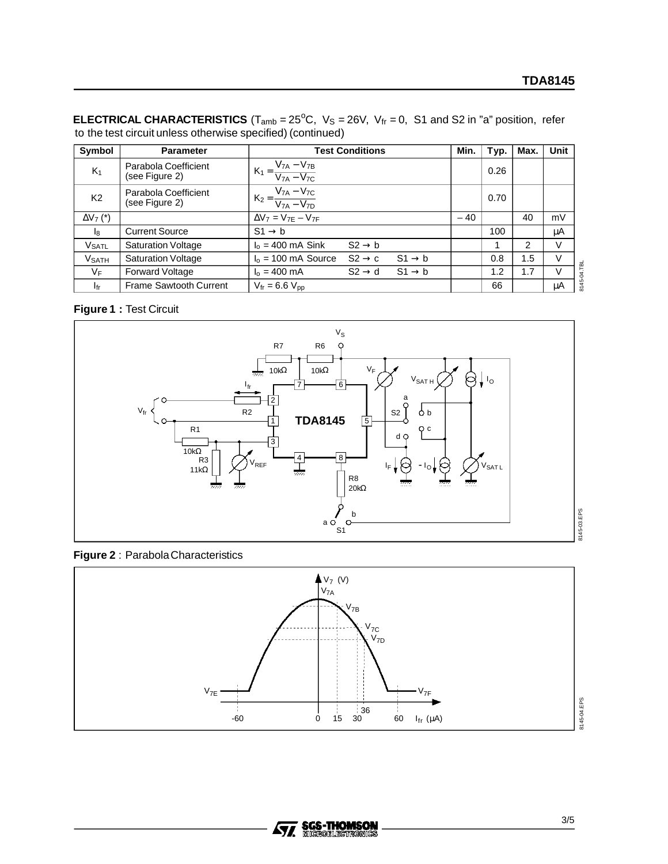**ELECTRICAL CHARACTERISTICS** (T<sub>amb</sub> =  $25^{\circ}$ C, V<sub>S</sub> =  $26V$ , V<sub>fr</sub> = 0, S1 and S2 in "a" position, refer to the test circuit unless otherwise specified) (continued)

| Symbol                     | <b>Parameter</b>                       | <b>Test Conditions</b>                                            | Min.  | Typ. | Max. | <b>Unit</b> |
|----------------------------|----------------------------------------|-------------------------------------------------------------------|-------|------|------|-------------|
| $K_1$                      | Parabola Coefficient<br>(see Figure 2) | $K_1 = \frac{V_{7A} - V_{7B}}{V_{7A} - V_{7C}}$                   |       | 0.26 |      |             |
| K <sub>2</sub>             | Parabola Coefficient<br>(see Figure 2) | $K_2 = \frac{V_{7A} - V_{7C}}{V_{7A} - V_{7D}}$                   |       | 0.70 |      |             |
| $\Delta V_7$ (*)           |                                        | $\Delta V_7 = V_{7E} - V_{7F}$                                    | $-40$ |      | 40   | mV          |
| $\mathsf{I}_8$             | <b>Current Source</b>                  | $S1 \rightarrow b$                                                |       | 100  |      | μA          |
| <b>VSATL</b>               | <b>Saturation Voltage</b>              | $I_0$ = 400 mA Sink<br>$S2 \rightarrow b$                         |       |      | 2    | V           |
| <b>V</b> SATH              | <b>Saturation Voltage</b>              | $I_0 = 100$ mA Source<br>$S2 \rightarrow c$<br>$S1 \rightarrow b$ |       | 0.8  | 1.5  | V           |
| VF                         | <b>Forward Voltage</b>                 | $S1 \rightarrow b$<br>$I_0 = 400$ mA<br>$S2 \rightarrow d$        |       | 1.2  | 1.7  | $\vee$      |
| $\mathsf{I}_{\mathsf{fr}}$ | <b>Frame Sawtooth Current</b>          | $V_{\text{fr}} = 6.6 V_{\text{pp}}$                               |       | 66   |      | μA          |

# **Figure 1 :** Test Circuit



**Figure 2** : ParabolaCharacteristics



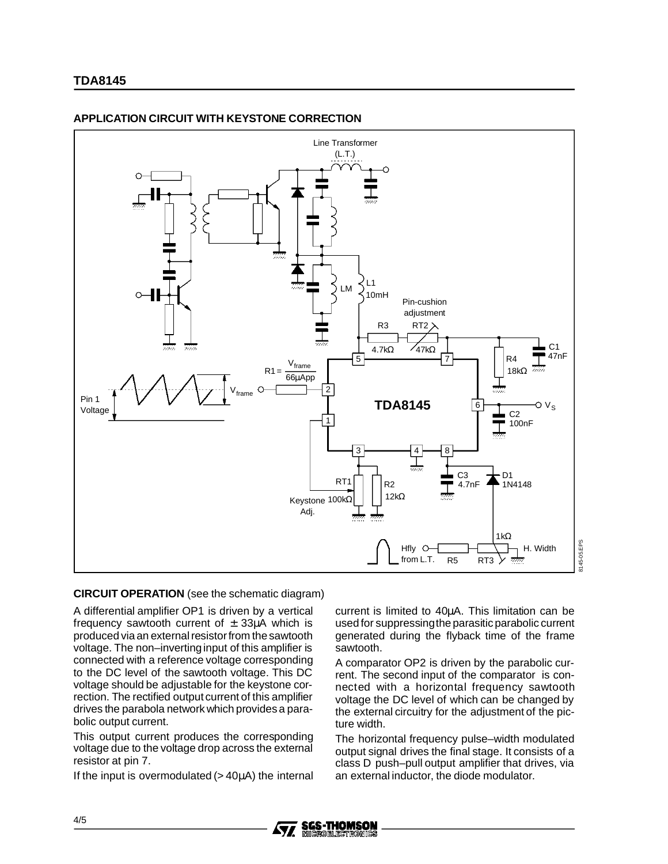# **TDA8145**



# **APPLICATION CIRCUIT WITH KEYSTONE CORRECTION**

#### **CIRCUIT OPERATION** (see the schematic diagram)

A differential amplifier OP1 is driven by a vertical frequency sawtooth current of  $\pm$  33 $\mu$ A which is produced via an external resistor from the sawtooth voltage. The non–invertinginput of this amplifier is connected with a reference voltage corresponding to the DC level of the sawtooth voltage. This DC voltage should be adjustable for the keystone correction. The rectified output current of this amplifier drives the parabola network which provides a parabolic output current.

This output current produces the corresponding voltage due to the voltage drop across the external resistor at pin 7.

If the input is overmodulated  $(>40\mu A)$  the internal

current is limited to 40µA. This limitation can be used for suppressingthe parasitic parabolic current generated during the flyback time of the frame sawtooth.

8145-05.EPS

EPS 145-05.

A comparator OP2 is driven by the parabolic current. The second input of the comparator is connected with a horizontal frequency sawtooth voltage the DC level of which can be changed by the external circuitry for the adjustment of the picture width.

The horizontal frequency pulse–width modulated output signal drives the final stage. It consists of a class D push–pull output amplifier that drives, via an external inductor, the diode modulator.